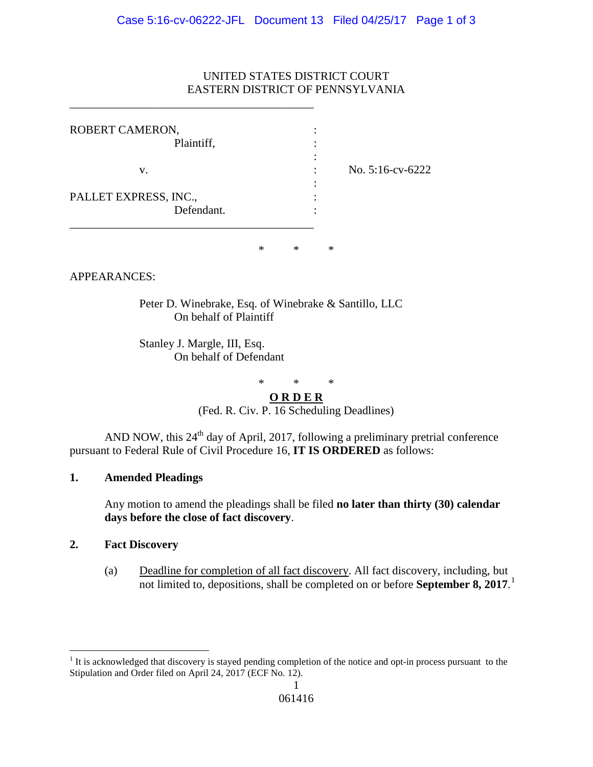### UNITED STATES DISTRICT COURT EASTERN DISTRICT OF PENNSYLVANIA

| No. 5:16-cv-6222 |
|------------------|
|                  |
|                  |

\_\_\_\_\_\_\_\_\_\_\_\_\_\_\_\_\_\_\_\_\_\_\_\_\_\_\_\_\_\_\_\_\_\_\_\_\_\_\_\_\_\_

\* \* \*

APPEARANCES:

Peter D. Winebrake, Esq. of Winebrake & Santillo, LLC On behalf of Plaintiff

Stanley J. Margle, III, Esq. On behalf of Defendant

 $*$  \* \*

**O R D E R** (Fed. R. Civ. P. 16 Scheduling Deadlines)

AND NOW, this 24<sup>th</sup> day of April, 2017, following a preliminary pretrial conference pursuant to Federal Rule of Civil Procedure 16, **IT IS ORDERED** as follows:

#### **1. Amended Pleadings**

Any motion to amend the pleadings shall be filed **no later than thirty (30) calendar days before the close of fact discovery**.

#### **2. Fact Discovery**

(a) Deadline for completion of all fact discovery. All fact discovery, including, but not limited to, depositions, shall be completed on or before **September 8, 2017**. [1](#page-0-0)

<span id="page-0-0"></span><sup>&</sup>lt;sup>1</sup> It is acknowledged that discovery is stayed pending completion of the notice and opt-in process pursuant to the Stipulation and Order filed on April 24, 2017 (ECF No. 12).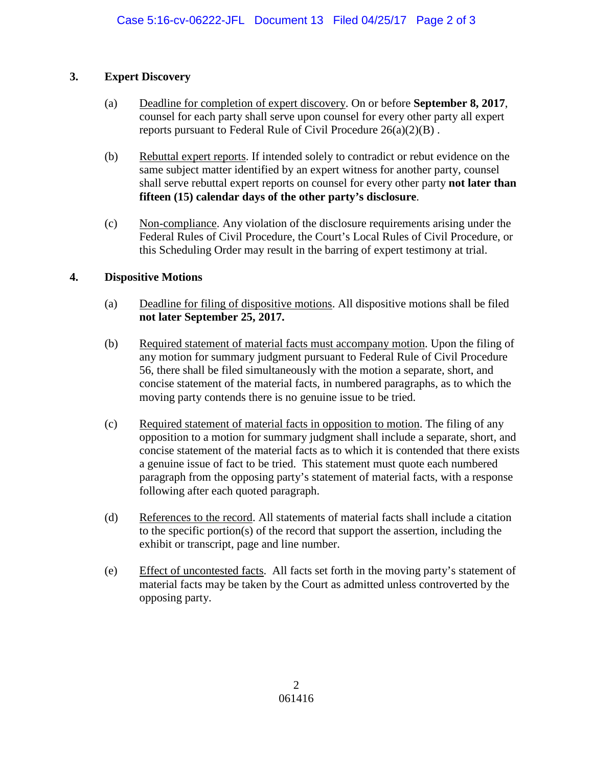# **3. Expert Discovery**

- (a) Deadline for completion of expert discovery. On or before **September 8, 2017**, counsel for each party shall serve upon counsel for every other party all expert reports pursuant to Federal Rule of Civil Procedure  $26(a)(2)(B)$ .
- (b) Rebuttal expert reports. If intended solely to contradict or rebut evidence on the same subject matter identified by an expert witness for another party, counsel shall serve rebuttal expert reports on counsel for every other party **not later than fifteen (15) calendar days of the other party's disclosure**.
- (c) Non-compliance. Any violation of the disclosure requirements arising under the Federal Rules of Civil Procedure, the Court's Local Rules of Civil Procedure, or this Scheduling Order may result in the barring of expert testimony at trial.

# **4. Dispositive Motions**

- (a) Deadline for filing of dispositive motions. All dispositive motions shall be filed **not later September 25, 2017.**
- (b) Required statement of material facts must accompany motion. Upon the filing of any motion for summary judgment pursuant to Federal Rule of Civil Procedure 56, there shall be filed simultaneously with the motion a separate, short, and concise statement of the material facts, in numbered paragraphs, as to which the moving party contends there is no genuine issue to be tried.
- (c) Required statement of material facts in opposition to motion. The filing of any opposition to a motion for summary judgment shall include a separate, short, and concise statement of the material facts as to which it is contended that there exists a genuine issue of fact to be tried. This statement must quote each numbered paragraph from the opposing party's statement of material facts, with a response following after each quoted paragraph.
- (d) References to the record. All statements of material facts shall include a citation to the specific portion(s) of the record that support the assertion, including the exhibit or transcript, page and line number.
- (e) Effect of uncontested facts. All facts set forth in the moving party's statement of material facts may be taken by the Court as admitted unless controverted by the opposing party.